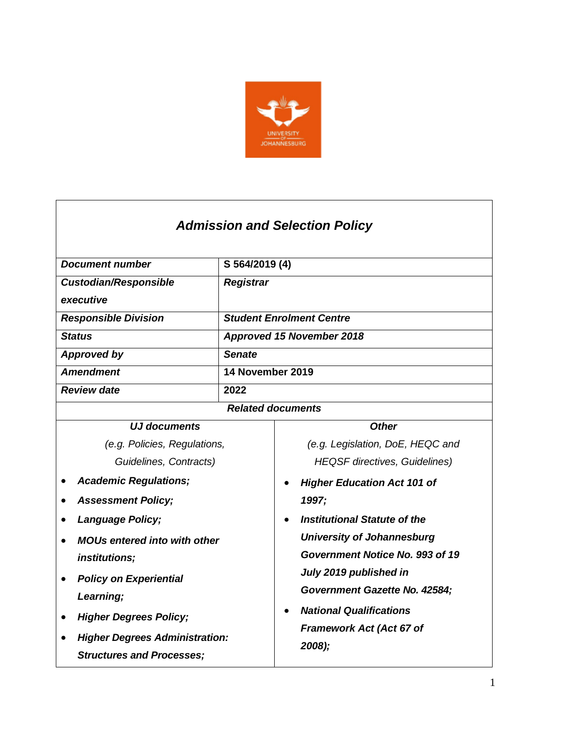

| <b>Admission and Selection Policy</b> |  |  |
|---------------------------------------|--|--|
|                                       |  |  |

| <b>Document number</b>                | S 564/2019 (4)   |                                      |
|---------------------------------------|------------------|--------------------------------------|
| <b>Custodian/Responsible</b>          | <b>Registrar</b> |                                      |
| executive                             |                  |                                      |
| <b>Responsible Division</b>           |                  | <b>Student Enrolment Centre</b>      |
| <b>Status</b>                         |                  | <b>Approved 15 November 2018</b>     |
| <b>Approved by</b>                    | <b>Senate</b>    |                                      |
| <b>Amendment</b>                      | 14 November 2019 |                                      |
| <b>Review date</b>                    | 2022             |                                      |
| <b>Related documents</b>              |                  |                                      |
| <b>UJ documents</b>                   |                  | <b>Other</b>                         |
| (e.g. Policies, Regulations,          |                  | (e.g. Legislation, DoE, HEQC and     |
| Guidelines, Contracts)                |                  | <b>HEQSF</b> directives, Guidelines) |
| <b>Academic Regulations;</b>          |                  | <b>Higher Education Act 101 of</b>   |
| <b>Assessment Policy;</b>             |                  | 1997;                                |
| <b>Language Policy;</b>               |                  | <b>Institutional Statute of the</b>  |
| <b>MOUs entered into with other</b>   |                  | <b>University of Johannesburg</b>    |
| <i>institutions;</i>                  |                  | Government Notice No. 993 of 19      |
| <b>Policy on Experiential</b>         |                  | July 2019 published in               |
| Learning;                             |                  | <b>Government Gazette No. 42584;</b> |
| <b>Higher Degrees Policy;</b>         |                  | <b>National Qualifications</b>       |
|                                       |                  | <b>Framework Act (Act 67 of</b>      |
| <b>Higher Degrees Administration:</b> |                  | 2008);                               |
| <b>Structures and Processes;</b>      |                  |                                      |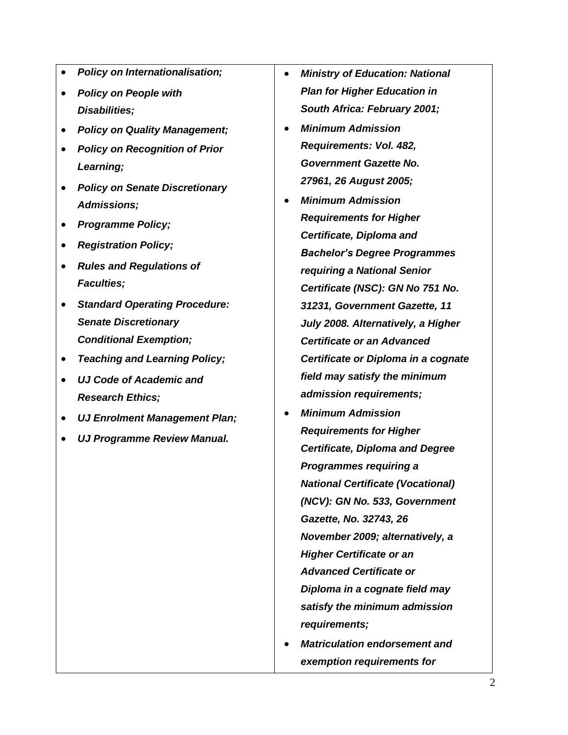- *Policy on Internationalisation;*
- *Policy on People with Disabilities;*
- *Policy on Quality Management;*
- *Policy on Recognition of Prior Learning;*
- *Policy on Senate Discretionary Admissions;*
- *Programme Policy;*
- *Registration Policy;*
- *Rules and Regulations of Faculties;*
- *Standard Operating Procedure: Senate Discretionary Conditional Exemption;*
- *Teaching and Learning Policy;*
- *UJ Code of Academic and Research Ethics;*
- *UJ Enrolment Management Plan;*
- *UJ Programme Review Manual.*
- *Ministry of Education: National Plan for Higher Education in South Africa: February 2001;*
- *Minimum Admission Requirements: Vol. 482, Government Gazette No. 27961, 26 August 2005;*
- *Minimum Admission Requirements for Higher Certificate, Diploma and Bachelor's Degree Programmes requiring a National Senior Certificate (NSC): GN No 751 No. 31231, Government Gazette, 11 July 2008. Alternatively, a Higher Certificate or an Advanced Certificate or Diploma in a cognate field may satisfy the minimum admission requirements;*
- *Minimum Admission Requirements for Higher Certificate, Diploma and Degree Programmes requiring a National Certificate (Vocational) (NCV): GN No. 533, Government Gazette, No. 32743, 26 November 2009; alternatively, a Higher Certificate or an Advanced Certificate or Diploma in a cognate field may satisfy the minimum admission requirements;*
- *Matriculation endorsement and exemption requirements for*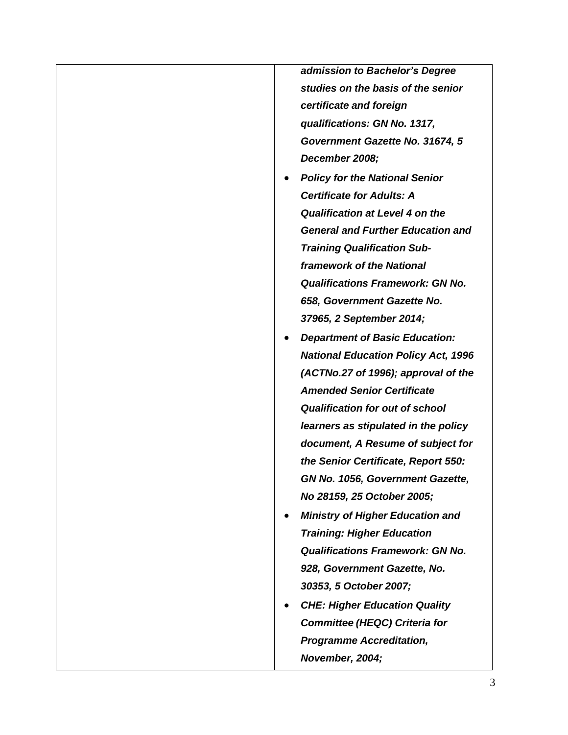*admission to Bachelor's Degree studies on the basis of the senior certificate and foreign qualifications: GN No. 1317, Government Gazette No. 31674, 5 December 2008;*

- *Policy for the National Senior Certificate for Adults: A Qualification at Level 4 on the General and Further Education and Training Qualification Subframework of the National Qualifications Framework: GN No. 658, Government Gazette No. 37965, 2 September 2014;*
- *Department of Basic Education: National Education Policy Act, 1996 (ACTNo.27 of 1996); approval of the Amended Senior Certificate Qualification for out of school learners as stipulated in the policy document, A Resume of subject for the Senior Certificate, Report 550: GN No. 1056, Government Gazette, No 28159, 25 October 2005;*
- *Ministry of Higher Education and Training: Higher Education Qualifications Framework: GN No. 928, Government Gazette, No. 30353, 5 October 2007;*
- *CHE: Higher Education Quality Committee (HEQC) Criteria for Programme Accreditation, November, 2004;*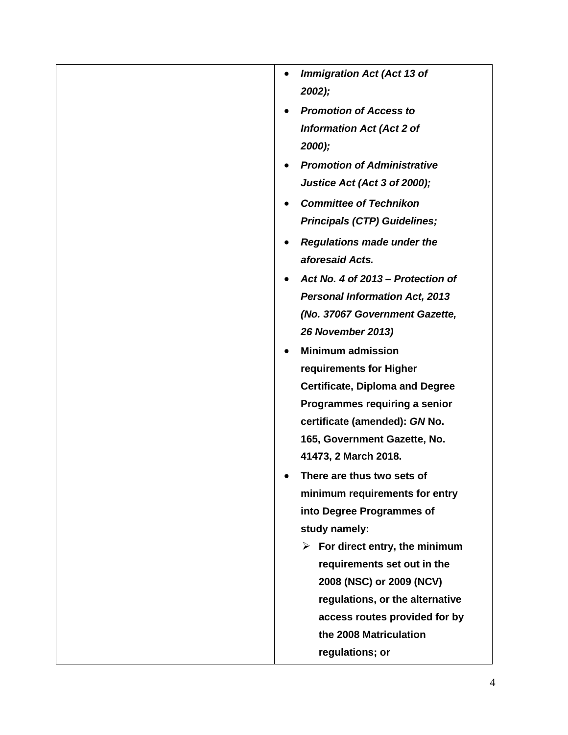| <b>Immigration Act (Act 13 of</b>              |
|------------------------------------------------|
| $2002$ );                                      |
| <b>Promotion of Access to</b>                  |
| <b>Information Act (Act 2 of</b>               |
| 2000);                                         |
| <b>Promotion of Administrative</b>             |
| Justice Act (Act 3 of 2000);                   |
| <b>Committee of Technikon</b>                  |
| <b>Principals (CTP) Guidelines;</b>            |
| <b>Regulations made under the</b>              |
| aforesaid Acts.                                |
| Act No. 4 of 2013 – Protection of              |
| <b>Personal Information Act, 2013</b>          |
| (No. 37067 Government Gazette,                 |
| <b>26 November 2013)</b>                       |
| <b>Minimum admission</b>                       |
| requirements for Higher                        |
| <b>Certificate, Diploma and Degree</b>         |
| Programmes requiring a senior                  |
| certificate (amended): GN No.                  |
| 165, Government Gazette, No.                   |
| 41473, 2 March 2018.                           |
| There are thus two sets of                     |
| minimum requirements for entry                 |
| into Degree Programmes of                      |
| study namely:                                  |
| $\triangleright$ For direct entry, the minimum |
| requirements set out in the                    |
| 2008 (NSC) or 2009 (NCV)                       |
| regulations, or the alternative                |
| access routes provided for by                  |
| the 2008 Matriculation                         |
| regulations; or                                |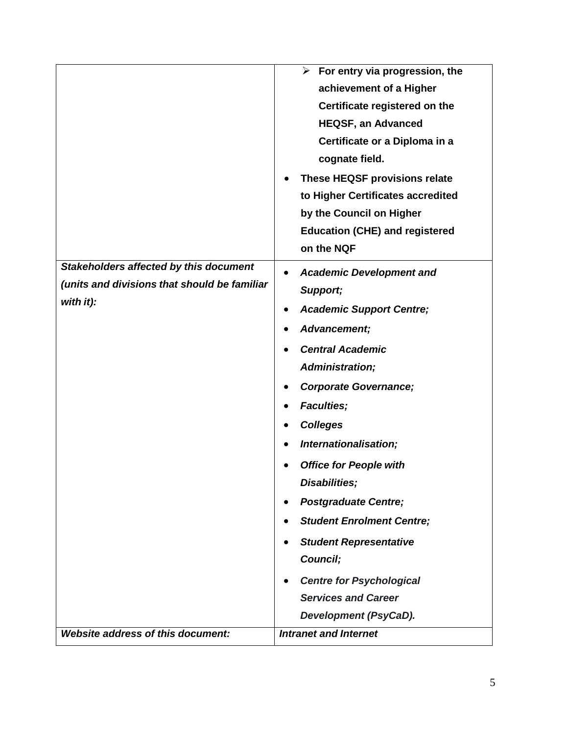|                                              | $\blacktriangleright$<br>For entry via progression, the |
|----------------------------------------------|---------------------------------------------------------|
|                                              | achievement of a Higher                                 |
|                                              | Certificate registered on the                           |
|                                              | <b>HEQSF, an Advanced</b>                               |
|                                              | Certificate or a Diploma in a                           |
|                                              | cognate field.                                          |
|                                              | These HEQSF provisions relate                           |
|                                              | to Higher Certificates accredited                       |
|                                              | by the Council on Higher                                |
|                                              | <b>Education (CHE) and registered</b>                   |
|                                              | on the NQF                                              |
| Stakeholders affected by this document       | <b>Academic Development and</b>                         |
| (units and divisions that should be familiar | Support;                                                |
| with it):                                    | <b>Academic Support Centre;</b>                         |
|                                              | Advancement;                                            |
|                                              | <b>Central Academic</b>                                 |
|                                              | Administration;                                         |
|                                              |                                                         |
|                                              | <b>Corporate Governance;</b>                            |
|                                              | <b>Faculties;</b>                                       |
|                                              | <b>Colleges</b>                                         |
|                                              | Internationalisation;                                   |
|                                              | <b>Office for People with</b>                           |
|                                              | Disabilities;                                           |
|                                              | <b>Postgraduate Centre;</b>                             |
|                                              | <b>Student Enrolment Centre;</b>                        |
|                                              | <b>Student Representative</b>                           |
|                                              | Council;                                                |
|                                              | <b>Centre for Psychological</b>                         |
|                                              | <b>Services and Career</b>                              |
|                                              | Development (PsyCaD).                                   |
| Website address of this document:            | <b>Intranet and Internet</b>                            |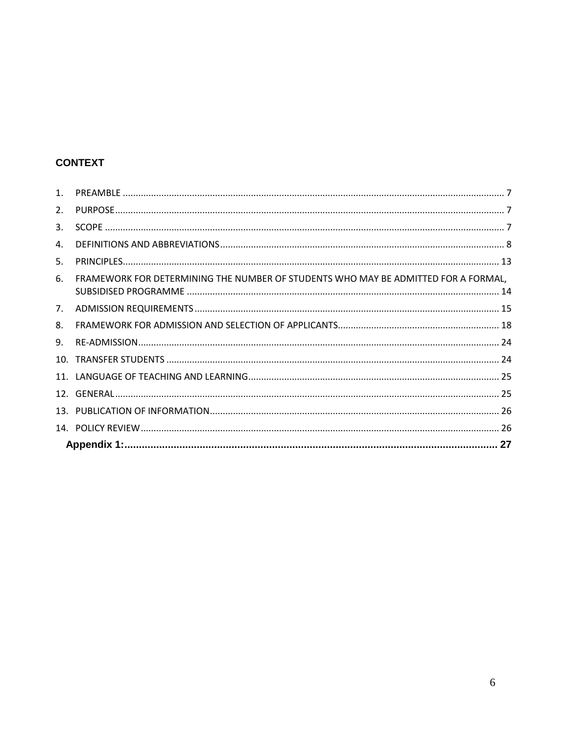# **CONTEXT**

| 9. |                                                                                    |  |
|----|------------------------------------------------------------------------------------|--|
| 8. |                                                                                    |  |
| 7. |                                                                                    |  |
| 6. | FRAMEWORK FOR DETERMINING THE NUMBER OF STUDENTS WHO MAY BE ADMITTED FOR A FORMAL, |  |
| 5. |                                                                                    |  |
| 4. |                                                                                    |  |
| 3. |                                                                                    |  |
| 2. |                                                                                    |  |
|    |                                                                                    |  |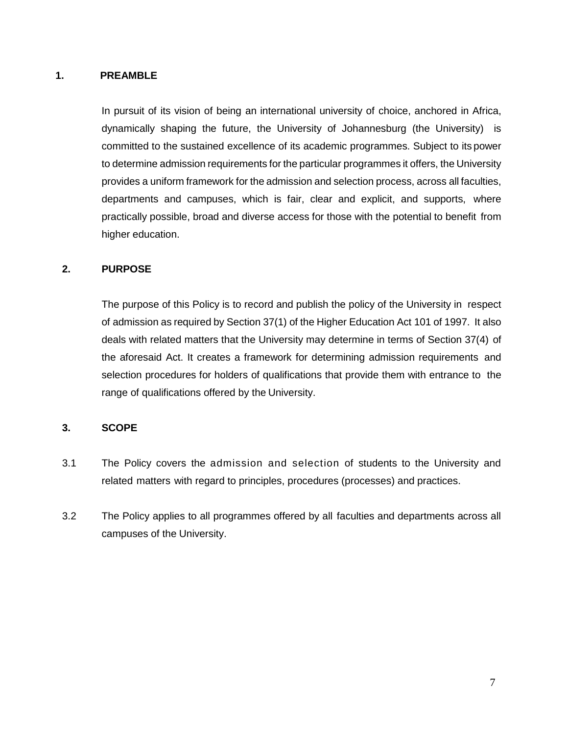### <span id="page-6-0"></span>**1. PREAMBLE**

In pursuit of its vision of being an international university of choice, anchored in Africa, dynamically shaping the future, the University of Johannesburg (the University) is committed to the sustained excellence of its academic programmes. Subject to its power to determine admission requirements for the particular programmes it offers, the University provides a uniform framework for the admission and selection process, across all faculties, departments and campuses, which is fair, clear and explicit, and supports, where practically possible, broad and diverse access for those with the potential to benefit from higher education.

### <span id="page-6-1"></span>**2. PURPOSE**

The purpose of this Policy is to record and publish the policy of the University in respect of admission as required by Section 37(1) of the Higher Education Act 101 of 1997. It also deals with related matters that the University may determine in terms of Section 37(4) of the aforesaid Act. It creates a framework for determining admission requirements and selection procedures for holders of qualifications that provide them with entrance to the range of qualifications offered by the University.

### <span id="page-6-2"></span>**3. SCOPE**

- 3.1 The Policy covers the admission and selection of students to the University and related matters with regard to principles, procedures (processes) and practices.
- 3.2 The Policy applies to all programmes offered by all faculties and departments across all campuses of the University.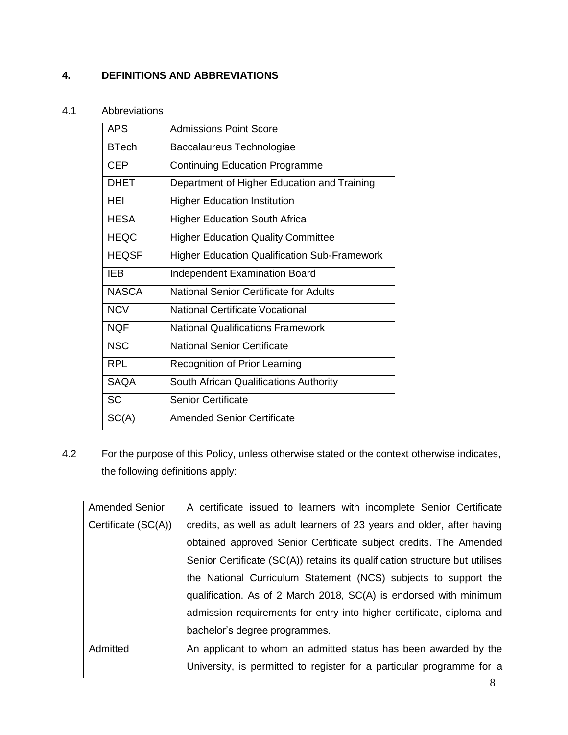## <span id="page-7-0"></span>**4. DEFINITIONS AND ABBREVIATIONS**

### 4.1 Abbreviations

| <b>APS</b>   | <b>Admissions Point Score</b>                       |
|--------------|-----------------------------------------------------|
| <b>BTech</b> | Baccalaureus Technologiae                           |
| <b>CEP</b>   | <b>Continuing Education Programme</b>               |
| <b>DHET</b>  | Department of Higher Education and Training         |
| HEI          | <b>Higher Education Institution</b>                 |
| <b>HESA</b>  | <b>Higher Education South Africa</b>                |
| <b>HEQC</b>  | <b>Higher Education Quality Committee</b>           |
| <b>HEQSF</b> | <b>Higher Education Qualification Sub-Framework</b> |
| IEB          | <b>Independent Examination Board</b>                |
| <b>NASCA</b> | National Senior Certificate for Adults              |
| <b>NCV</b>   | National Certificate Vocational                     |
| <b>NQF</b>   | <b>National Qualifications Framework</b>            |
| <b>NSC</b>   | <b>National Senior Certificate</b>                  |
| <b>RPL</b>   | <b>Recognition of Prior Learning</b>                |
| <b>SAQA</b>  | South African Qualifications Authority              |
| <b>SC</b>    | <b>Senior Certificate</b>                           |
| SC(A)        | <b>Amended Senior Certificate</b>                   |

4.2 For the purpose of this Policy, unless otherwise stated or the context otherwise indicates, the following definitions apply:

| <b>Amended Senior</b> | A certificate issued to learners with incomplete Senior Certificate         |
|-----------------------|-----------------------------------------------------------------------------|
| Certificate (SC(A))   | credits, as well as adult learners of 23 years and older, after having      |
|                       | obtained approved Senior Certificate subject credits. The Amended           |
|                       | Senior Certificate (SC(A)) retains its qualification structure but utilises |
|                       | the National Curriculum Statement (NCS) subjects to support the             |
|                       | qualification. As of 2 March 2018, SC(A) is endorsed with minimum           |
|                       | admission requirements for entry into higher certificate, diploma and       |
|                       | bachelor's degree programmes.                                               |
| Admitted              | An applicant to whom an admitted status has been awarded by the             |
|                       | University, is permitted to register for a particular programme for a       |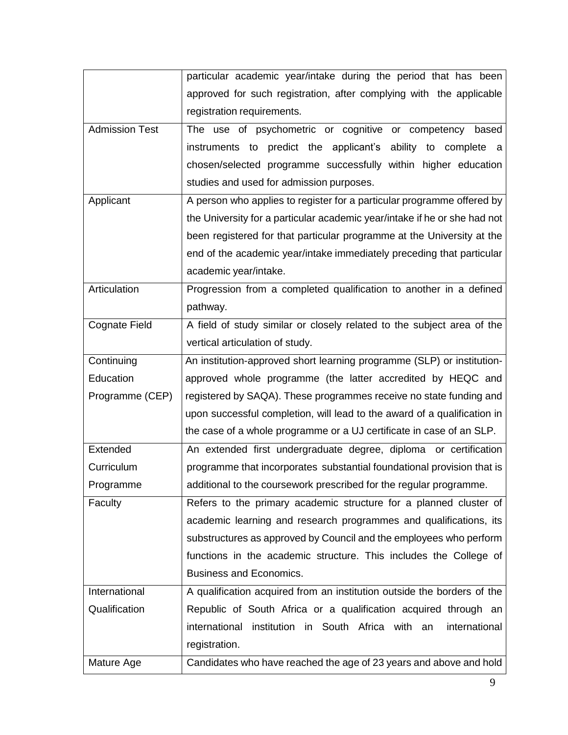|                       | particular academic year/intake during the period that has been           |
|-----------------------|---------------------------------------------------------------------------|
|                       | approved for such registration, after complying with the applicable       |
|                       | registration requirements.                                                |
| <b>Admission Test</b> | The use of psychometric or cognitive or competency based                  |
|                       | instruments to predict the applicant's ability to complete a              |
|                       | chosen/selected programme successfully within higher education            |
|                       | studies and used for admission purposes.                                  |
| Applicant             | A person who applies to register for a particular programme offered by    |
|                       | the University for a particular academic year/intake if he or she had not |
|                       | been registered for that particular programme at the University at the    |
|                       | end of the academic year/intake immediately preceding that particular     |
|                       | academic year/intake.                                                     |
| Articulation          | Progression from a completed qualification to another in a defined        |
|                       | pathway.                                                                  |
| <b>Cognate Field</b>  | A field of study similar or closely related to the subject area of the    |
|                       | vertical articulation of study.                                           |
| Continuing            | An institution-approved short learning programme (SLP) or institution-    |
| Education             | approved whole programme (the latter accredited by HEQC and               |
| Programme (CEP)       | registered by SAQA). These programmes receive no state funding and        |
|                       | upon successful completion, will lead to the award of a qualification in  |
|                       | the case of a whole programme or a UJ certificate in case of an SLP.      |
| Extended              | An extended first undergraduate degree, diploma or certification          |
| Curriculum            | programme that incorporates substantial foundational provision that is    |
| Programme             | additional to the coursework prescribed for the regular programme.        |
| Faculty               | Refers to the primary academic structure for a planned cluster of         |
|                       | academic learning and research programmes and qualifications, its         |
|                       | substructures as approved by Council and the employees who perform        |
|                       | functions in the academic structure. This includes the College of         |
|                       | <b>Business and Economics.</b>                                            |
| International         | A qualification acquired from an institution outside the borders of the   |
| Qualification         | Republic of South Africa or a qualification acquired through an           |
|                       |                                                                           |
|                       | international<br>institution in South Africa with an<br>international     |
|                       | registration.                                                             |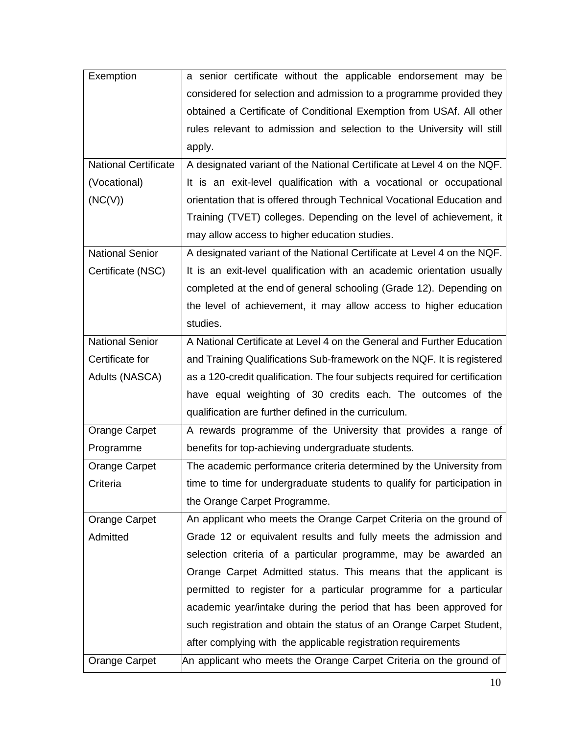| Exemption                   | a senior certificate without the applicable endorsement may be              |
|-----------------------------|-----------------------------------------------------------------------------|
|                             | considered for selection and admission to a programme provided they         |
|                             | obtained a Certificate of Conditional Exemption from USAf. All other        |
|                             | rules relevant to admission and selection to the University will still      |
|                             | apply.                                                                      |
| <b>National Certificate</b> | A designated variant of the National Certificate at Level 4 on the NQF.     |
| (Vocational)                | It is an exit-level qualification with a vocational or occupational         |
| (NC(V))                     | orientation that is offered through Technical Vocational Education and      |
|                             | Training (TVET) colleges. Depending on the level of achievement, it         |
|                             | may allow access to higher education studies.                               |
| <b>National Senior</b>      | A designated variant of the National Certificate at Level 4 on the NQF.     |
| Certificate (NSC)           | It is an exit-level qualification with an academic orientation usually      |
|                             | completed at the end of general schooling (Grade 12). Depending on          |
|                             | the level of achievement, it may allow access to higher education           |
|                             | studies.                                                                    |
| <b>National Senior</b>      | A National Certificate at Level 4 on the General and Further Education      |
| Certificate for             | and Training Qualifications Sub-framework on the NQF. It is registered      |
| Adults (NASCA)              | as a 120-credit qualification. The four subjects required for certification |
|                             | have equal weighting of 30 credits each. The outcomes of the                |
|                             | qualification are further defined in the curriculum.                        |
| <b>Orange Carpet</b>        | A rewards programme of the University that provides a range of              |
| Programme                   | benefits for top-achieving undergraduate students.                          |
| Orange Carpet               | The academic performance criteria determined by the University from         |
| Criteria                    | time to time for undergraduate students to qualify for participation in     |
|                             | the Orange Carpet Programme.                                                |
| Orange Carpet               | An applicant who meets the Orange Carpet Criteria on the ground of          |
| Admitted                    | Grade 12 or equivalent results and fully meets the admission and            |
|                             | selection criteria of a particular programme, may be awarded an             |
|                             | Orange Carpet Admitted status. This means that the applicant is             |
|                             | permitted to register for a particular programme for a particular           |
|                             | academic year/intake during the period that has been approved for           |
|                             | such registration and obtain the status of an Orange Carpet Student,        |
|                             | after complying with the applicable registration requirements               |
| Orange Carpet               | An applicant who meets the Orange Carpet Criteria on the ground of          |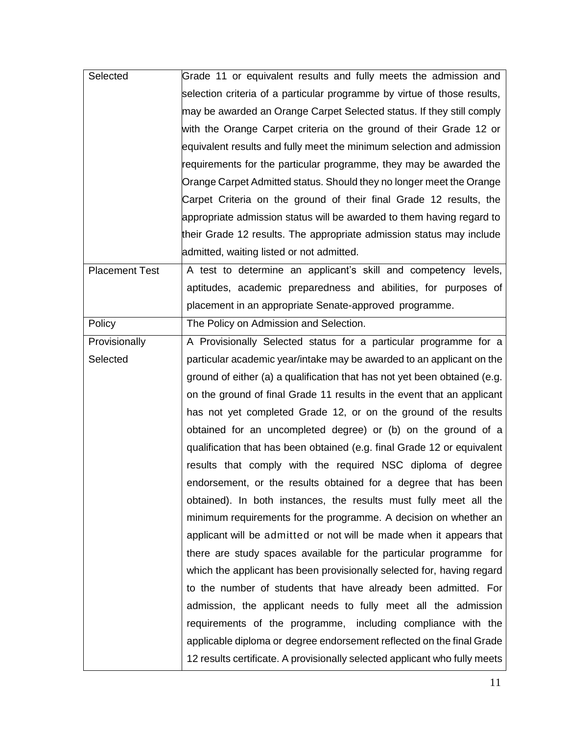| Selected              | Grade 11 or equivalent results and fully meets the admission and           |
|-----------------------|----------------------------------------------------------------------------|
|                       | selection criteria of a particular programme by virtue of those results,   |
|                       | may be awarded an Orange Carpet Selected status. If they still comply      |
|                       | with the Orange Carpet criteria on the ground of their Grade 12 or         |
|                       | equivalent results and fully meet the minimum selection and admission      |
|                       | requirements for the particular programme, they may be awarded the         |
|                       | Orange Carpet Admitted status. Should they no longer meet the Orange       |
|                       | Carpet Criteria on the ground of their final Grade 12 results, the         |
|                       | appropriate admission status will be awarded to them having regard to      |
|                       | their Grade 12 results. The appropriate admission status may include       |
|                       | admitted, waiting listed or not admitted.                                  |
| <b>Placement Test</b> | A test to determine an applicant's skill and competency levels,            |
|                       | aptitudes, academic preparedness and abilities, for purposes of            |
|                       | placement in an appropriate Senate-approved programme.                     |
| Policy                | The Policy on Admission and Selection.                                     |
| Provisionally         | A Provisionally Selected status for a particular programme for a           |
| Selected              | particular academic year/intake may be awarded to an applicant on the      |
|                       | ground of either (a) a qualification that has not yet been obtained (e.g.  |
|                       | on the ground of final Grade 11 results in the event that an applicant     |
|                       | has not yet completed Grade 12, or on the ground of the results            |
|                       | obtained for an uncompleted degree) or (b) on the ground of a              |
|                       | qualification that has been obtained (e.g. final Grade 12 or equivalent    |
|                       | results that comply with the required NSC diploma of degree                |
|                       | endorsement, or the results obtained for a degree that has been            |
|                       | obtained). In both instances, the results must fully meet all the          |
|                       | minimum requirements for the programme. A decision on whether an           |
|                       | applicant will be admitted or not will be made when it appears that        |
|                       | there are study spaces available for the particular programme for          |
|                       | which the applicant has been provisionally selected for, having regard     |
|                       | to the number of students that have already been admitted. For             |
|                       | admission, the applicant needs to fully meet all the admission             |
|                       | requirements of the programme, including compliance with the               |
|                       | applicable diploma or degree endorsement reflected on the final Grade      |
|                       | 12 results certificate. A provisionally selected applicant who fully meets |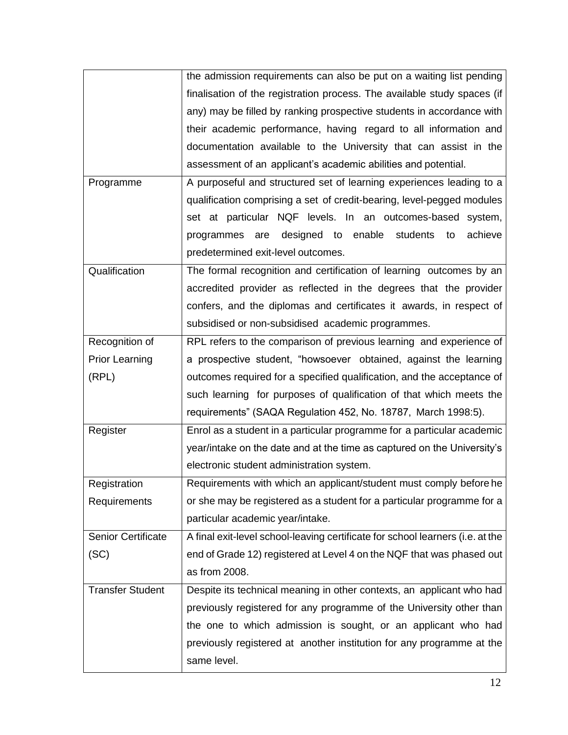|                           | the admission requirements can also be put on a waiting list pending           |
|---------------------------|--------------------------------------------------------------------------------|
|                           | finalisation of the registration process. The available study spaces (if       |
|                           | any) may be filled by ranking prospective students in accordance with          |
|                           | their academic performance, having regard to all information and               |
|                           | documentation available to the University that can assist in the               |
|                           |                                                                                |
|                           | assessment of an applicant's academic abilities and potential.                 |
| Programme                 | A purposeful and structured set of learning experiences leading to a           |
|                           | qualification comprising a set of credit-bearing, level-pegged modules         |
|                           | set at particular NQF levels. In an outcomes-based system,                     |
|                           | designed to enable<br>students<br>achieve<br>programmes<br>are<br>to           |
|                           | predetermined exit-level outcomes.                                             |
| Qualification             | The formal recognition and certification of learning outcomes by an            |
|                           | accredited provider as reflected in the degrees that the provider              |
|                           | confers, and the diplomas and certificates it awards, in respect of            |
|                           | subsidised or non-subsidised academic programmes.                              |
| Recognition of            | RPL refers to the comparison of previous learning and experience of            |
| <b>Prior Learning</b>     | a prospective student, "howsoever obtained, against the learning               |
| (RPL)                     | outcomes required for a specified qualification, and the acceptance of         |
|                           |                                                                                |
|                           | such learning for purposes of qualification of that which meets the            |
|                           | requirements" (SAQA Regulation 452, No. 18787, March 1998:5).                  |
| Register                  | Enrol as a student in a particular programme for a particular academic         |
|                           | year/intake on the date and at the time as captured on the University's        |
|                           | electronic student administration system.                                      |
| Registration              | Requirements with which an applicant/student must comply before he             |
| Requirements              | or she may be registered as a student for a particular programme for a         |
|                           | particular academic year/intake.                                               |
| <b>Senior Certificate</b> | A final exit-level school-leaving certificate for school learners (i.e. at the |
| (SC)                      | end of Grade 12) registered at Level 4 on the NQF that was phased out          |
|                           | as from 2008.                                                                  |
| <b>Transfer Student</b>   | Despite its technical meaning in other contexts, an applicant who had          |
|                           | previously registered for any programme of the University other than           |
|                           | the one to which admission is sought, or an applicant who had                  |
|                           | previously registered at another institution for any programme at the          |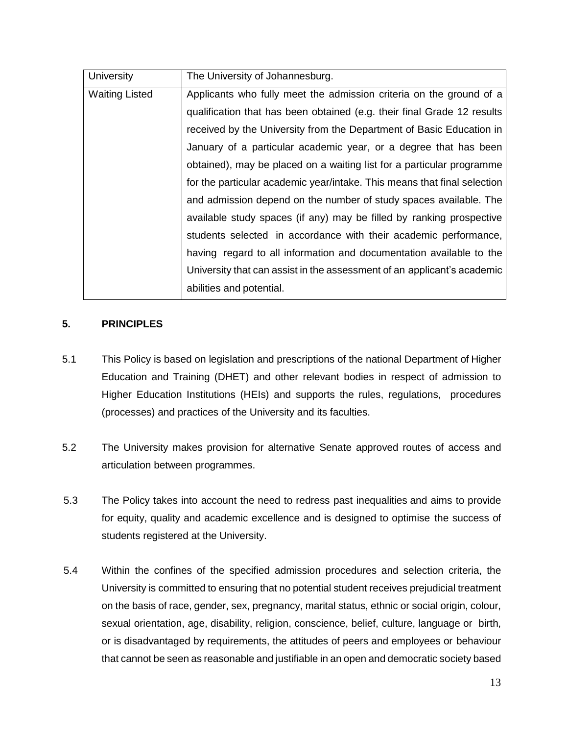| University            | The University of Johannesburg.                                          |
|-----------------------|--------------------------------------------------------------------------|
| <b>Waiting Listed</b> | Applicants who fully meet the admission criteria on the ground of a      |
|                       | qualification that has been obtained (e.g. their final Grade 12 results  |
|                       | received by the University from the Department of Basic Education in     |
|                       | January of a particular academic year, or a degree that has been         |
|                       | obtained), may be placed on a waiting list for a particular programme    |
|                       | for the particular academic year/intake. This means that final selection |
|                       | and admission depend on the number of study spaces available. The        |
|                       | available study spaces (if any) may be filled by ranking prospective     |
|                       | students selected in accordance with their academic performance,         |
|                       | having regard to all information and documentation available to the      |
|                       | University that can assist in the assessment of an applicant's academic  |
|                       | abilities and potential.                                                 |

### <span id="page-12-0"></span>**5. PRINCIPLES**

- 5.1 This Policy is based on legislation and prescriptions of the national Department of Higher Education and Training (DHET) and other relevant bodies in respect of admission to Higher Education Institutions (HEIs) and supports the rules, regulations, procedures (processes) and practices of the University and its faculties.
- 5.2 The University makes provision for alternative Senate approved routes of access and articulation between programmes.
- 5.3 The Policy takes into account the need to redress past inequalities and aims to provide for equity, quality and academic excellence and is designed to optimise the success of students registered at the University.
- 5.4 Within the confines of the specified admission procedures and selection criteria, the University is committed to ensuring that no potential student receives prejudicial treatment on the basis of race, gender, sex, pregnancy, marital status, ethnic or social origin, colour, sexual orientation, age, disability, religion, conscience, belief, culture, language or birth, or is disadvantaged by requirements, the attitudes of peers and employees or behaviour that cannot be seen as reasonable and justifiable in an open and democratic society based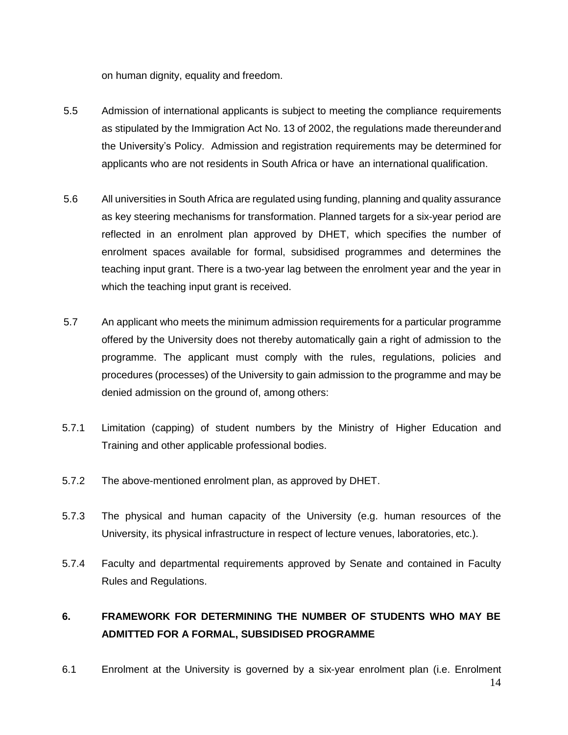on human dignity, equality and freedom.

- 5.5 Admission of international applicants is subject to meeting the compliance requirements as stipulated by the Immigration Act No. 13 of 2002, the regulations made thereunderand the University's Policy. Admission and registration requirements may be determined for applicants who are not residents in South Africa or have an international qualification.
- 5.6 All universities in South Africa are regulated using funding, planning and quality assurance as key steering mechanisms for transformation. Planned targets for a six-year period are reflected in an enrolment plan approved by DHET, which specifies the number of enrolment spaces available for formal, subsidised programmes and determines the teaching input grant. There is a two-year lag between the enrolment year and the year in which the teaching input grant is received.
- 5.7 An applicant who meets the minimum admission requirements for a particular programme offered by the University does not thereby automatically gain a right of admission to the programme. The applicant must comply with the rules, regulations, policies and procedures (processes) of the University to gain admission to the programme and may be denied admission on the ground of, among others:
- 5.7.1 Limitation (capping) of student numbers by the Ministry of Higher Education and Training and other applicable professional bodies.
- 5.7.2 The above-mentioned enrolment plan, as approved by DHET.
- 5.7.3 The physical and human capacity of the University (e.g. human resources of the University, its physical infrastructure in respect of lecture venues, laboratories, etc.).
- 5.7.4 Faculty and departmental requirements approved by Senate and contained in Faculty Rules and Regulations.

# <span id="page-13-0"></span>**6. FRAMEWORK FOR DETERMINING THE NUMBER OF STUDENTS WHO MAY BE ADMITTED FOR A FORMAL, SUBSIDISED PROGRAMME**

14 6.1 Enrolment at the University is governed by a six-year enrolment plan (i.e. Enrolment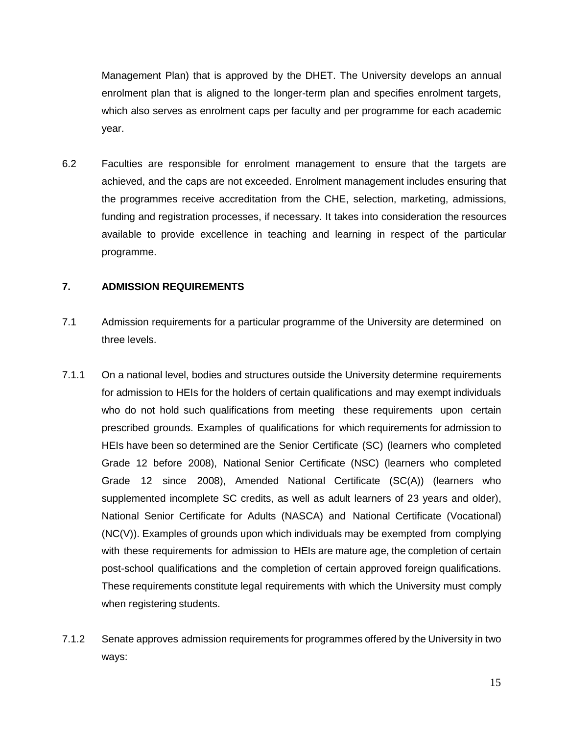Management Plan) that is approved by the DHET. The University develops an annual enrolment plan that is aligned to the longer-term plan and specifies enrolment targets, which also serves as enrolment caps per faculty and per programme for each academic year.

6.2 Faculties are responsible for enrolment management to ensure that the targets are achieved, and the caps are not exceeded. Enrolment management includes ensuring that the programmes receive accreditation from the CHE, selection, marketing, admissions, funding and registration processes, if necessary. It takes into consideration the resources available to provide excellence in teaching and learning in respect of the particular programme.

#### <span id="page-14-0"></span>**7. ADMISSION REQUIREMENTS**

- 7.1 Admission requirements for a particular programme of the University are determined on three levels.
- 7.1.1 On a national level, bodies and structures outside the University determine requirements for admission to HEIs for the holders of certain qualifications and may exempt individuals who do not hold such qualifications from meeting these requirements upon certain prescribed grounds. Examples of qualifications for which requirements for admission to HEIs have been so determined are the Senior Certificate (SC) (learners who completed Grade 12 before 2008), National Senior Certificate (NSC) (learners who completed Grade 12 since 2008), Amended National Certificate (SC(A)) (learners who supplemented incomplete SC credits, as well as adult learners of 23 years and older), National Senior Certificate for Adults (NASCA) and National Certificate (Vocational) (NC(V)). Examples of grounds upon which individuals may be exempted from complying with these requirements for admission to HEIs are mature age, the completion of certain post-school qualifications and the completion of certain approved foreign qualifications. These requirements constitute legal requirements with which the University must comply when registering students.
- 7.1.2 Senate approves admission requirements for programmes offered by the University in two ways: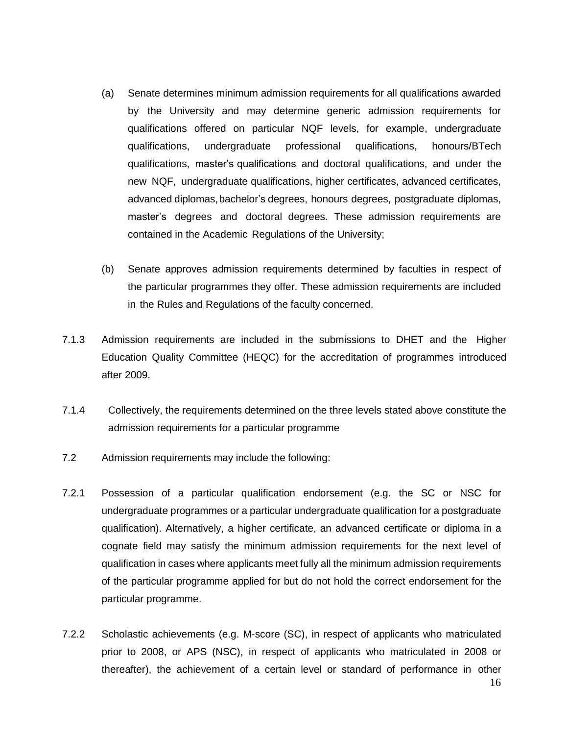- (a) Senate determines minimum admission requirements for all qualifications awarded by the University and may determine generic admission requirements for qualifications offered on particular NQF levels, for example, undergraduate qualifications, undergraduate professional qualifications, honours/BTech qualifications, master's qualifications and doctoral qualifications, and under the new NQF, undergraduate qualifications, higher certificates, advanced certificates, advanced diplomas,bachelor's degrees, honours degrees, postgraduate diplomas, master's degrees and doctoral degrees. These admission requirements are contained in the Academic Regulations of the University;
- (b) Senate approves admission requirements determined by faculties in respect of the particular programmes they offer. These admission requirements are included in the Rules and Regulations of the faculty concerned.
- 7.1.3 Admission requirements are included in the submissions to DHET and the Higher Education Quality Committee (HEQC) for the accreditation of programmes introduced after 2009.
- 7.1.4 Collectively, the requirements determined on the three levels stated above constitute the admission requirements for a particular programme
- 7.2 Admission requirements may include the following:
- 7.2.1 Possession of a particular qualification endorsement (e.g. the SC or NSC for undergraduate programmes or a particular undergraduate qualification for a postgraduate qualification). Alternatively, a higher certificate, an advanced certificate or diploma in a cognate field may satisfy the minimum admission requirements for the next level of qualification in cases where applicants meet fully all the minimum admission requirements of the particular programme applied for but do not hold the correct endorsement for the particular programme.
- 7.2.2 Scholastic achievements (e.g. M-score (SC), in respect of applicants who matriculated prior to 2008, or APS (NSC), in respect of applicants who matriculated in 2008 or thereafter), the achievement of a certain level or standard of performance in other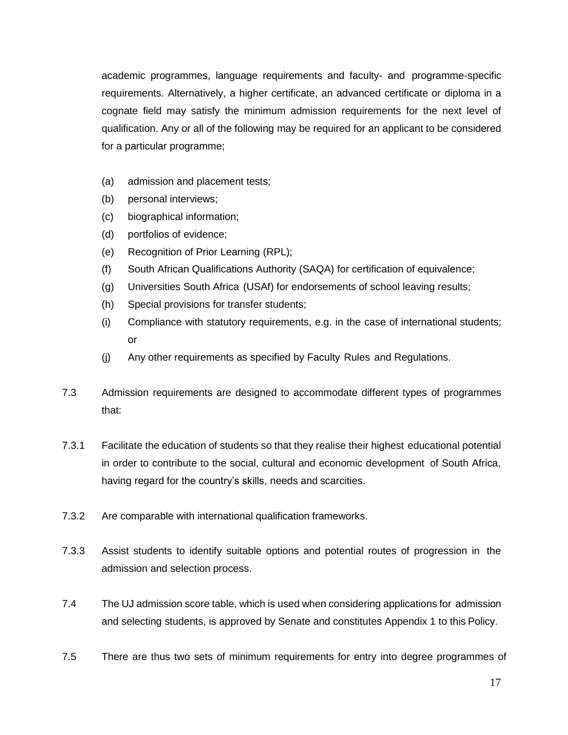academic programmes, language requirements and faculty- and programme-specific requirements. Alternatively, a higher certificate, an advanced certificate or diploma in a cognate field may satisfy the minimum admission requirements for the next level of qualification. Any or all of the following may be required for an applicant to be considered for a particular programme;

- (a) admission and placement tests;
- (b) personal interviews;
- (c) biographical information;
- (d) portfolios of evidence;
- (e) Recognition of Prior Learning (RPL);
- (f) South African Qualifications Authority (SAQA) for certification of equivalence;
- (g) Universities South Africa (USAf) for endorsements of school leaving results;
- (h) Special provisions for transfer students;
- (i) Compliance with statutory requirements, e.g. in the case of international students; or
- (j) Any other requirements as specified by Faculty Rules and Regulations.
- 7.3 Admission requirements are designed to accommodate different types of programmes that:
- 7.3.1 Facilitate the education of students so that they realise their highest educational potential in order to contribute to the social, cultural and economic development of South Africa, having regard for the country's skills, needs and scarcities.
- 7.3.2 Are comparable with international qualification frameworks.
- 7.3.3 Assist students to identify suitable options and potential routes of progression in the admission and selection process.
- 7.4 The UJ admission score table, which is used when considering applications for admission and selecting students, is approved by Senate and constitutes Appendix 1 to this Policy.
- 7.5 There are thus two sets of minimum requirements for entry into degree programmes of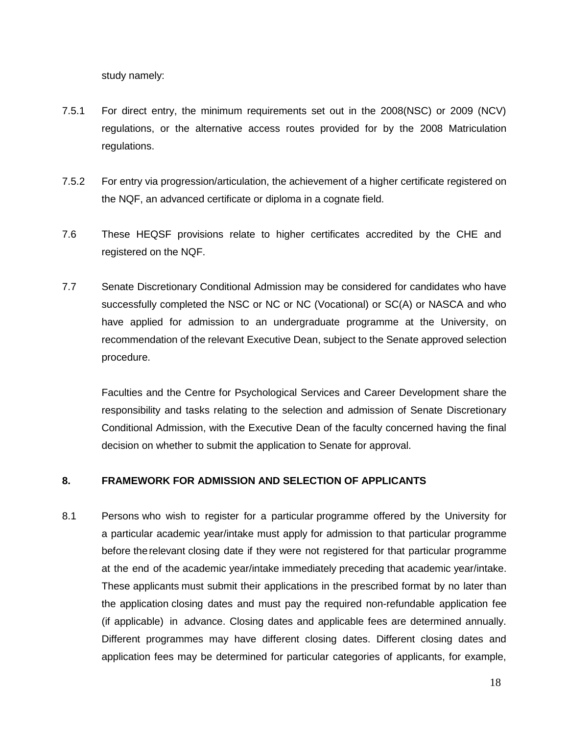study namely:

- 7.5.1 For direct entry, the minimum requirements set out in the 2008(NSC) or 2009 (NCV) regulations, or the alternative access routes provided for by the 2008 Matriculation regulations.
- 7.5.2 For entry via progression/articulation, the achievement of a higher certificate registered on the NQF, an advanced certificate or diploma in a cognate field.
- 7.6 These HEQSF provisions relate to higher certificates accredited by the CHE and registered on the NQF.
- 7.7 Senate Discretionary Conditional Admission may be considered for candidates who have successfully completed the NSC or NC or NC (Vocational) or SC(A) or NASCA and who have applied for admission to an undergraduate programme at the University, on recommendation of the relevant Executive Dean, subject to the Senate approved selection procedure.

Faculties and the Centre for Psychological Services and Career Development share the responsibility and tasks relating to the selection and admission of Senate Discretionary Conditional Admission, with the Executive Dean of the faculty concerned having the final decision on whether to submit the application to Senate for approval.

### <span id="page-17-0"></span>**8. FRAMEWORK FOR ADMISSION AND SELECTION OF APPLICANTS**

8.1 Persons who wish to register for a particular programme offered by the University for a particular academic year/intake must apply for admission to that particular programme before therelevant closing date if they were not registered for that particular programme at the end of the academic year/intake immediately preceding that academic year/intake. These applicants must submit their applications in the prescribed format by no later than the application closing dates and must pay the required non-refundable application fee (if applicable) in advance. Closing dates and applicable fees are determined annually. Different programmes may have different closing dates. Different closing dates and application fees may be determined for particular categories of applicants, for example,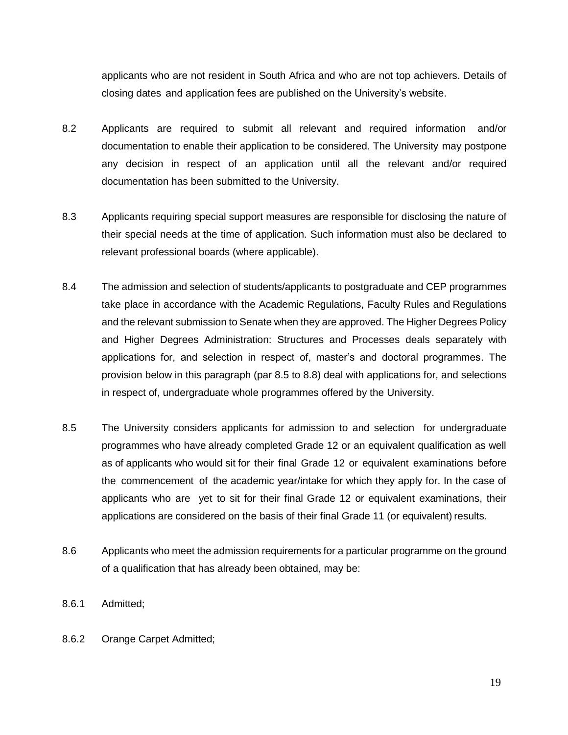applicants who are not resident in South Africa and who are not top achievers. Details of closing dates and application fees are published on the University's website.

- 8.2 Applicants are required to submit all relevant and required information and/or documentation to enable their application to be considered. The University may postpone any decision in respect of an application until all the relevant and/or required documentation has been submitted to the University.
- 8.3 Applicants requiring special support measures are responsible for disclosing the nature of their special needs at the time of application. Such information must also be declared to relevant professional boards (where applicable).
- 8.4 The admission and selection of students/applicants to postgraduate and CEP programmes take place in accordance with the Academic Regulations, Faculty Rules and Regulations and the relevant submission to Senate when they are approved. The Higher Degrees Policy and Higher Degrees Administration: Structures and Processes deals separately with applications for, and selection in respect of, master's and doctoral programmes. The provision below in this paragraph (par 8.5 to 8.8) deal with applications for, and selections in respect of, undergraduate whole programmes offered by the University.
- 8.5 The University considers applicants for admission to and selection for undergraduate programmes who have already completed Grade 12 or an equivalent qualification as well as of applicants who would sit for their final Grade 12 or equivalent examinations before the commencement of the academic year/intake for which they apply for. In the case of applicants who are yet to sit for their final Grade 12 or equivalent examinations, their applications are considered on the basis of their final Grade 11 (or equivalent) results.
- 8.6 Applicants who meet the admission requirements for a particular programme on the ground of a qualification that has already been obtained, may be:
- 8.6.1 Admitted;
- 8.6.2 Orange Carpet Admitted;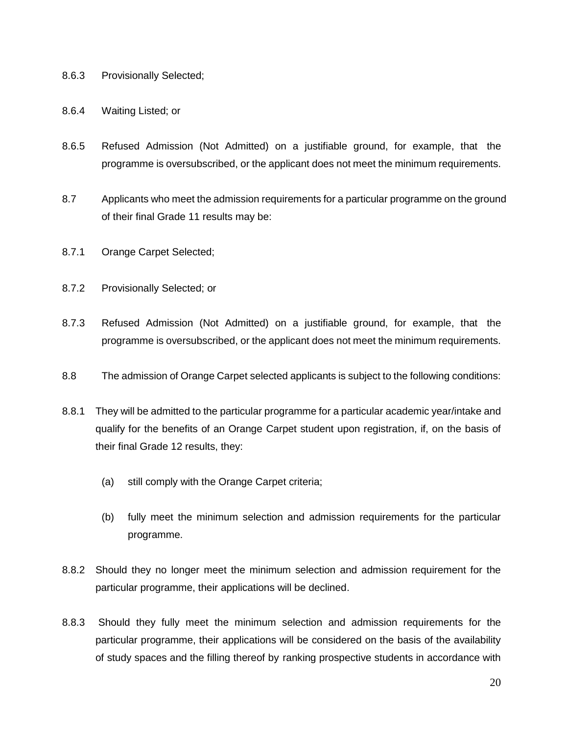- 8.6.3 Provisionally Selected;
- 8.6.4 Waiting Listed; or
- 8.6.5 Refused Admission (Not Admitted) on a justifiable ground, for example, that the programme is oversubscribed, or the applicant does not meet the minimum requirements.
- 8.7 Applicants who meet the admission requirements for a particular programme on the ground of their final Grade 11 results may be:
- 8.7.1 Orange Carpet Selected;
- 8.7.2 Provisionally Selected; or
- 8.7.3 Refused Admission (Not Admitted) on a justifiable ground, for example, that the programme is oversubscribed, or the applicant does not meet the minimum requirements.
- 8.8 The admission of Orange Carpet selected applicants is subject to the following conditions:
- 8.8.1 They will be admitted to the particular programme for a particular academic year/intake and qualify for the benefits of an Orange Carpet student upon registration, if, on the basis of their final Grade 12 results, they:
	- (a) still comply with the Orange Carpet criteria;
	- (b) fully meet the minimum selection and admission requirements for the particular programme.
- 8.8.2 Should they no longer meet the minimum selection and admission requirement for the particular programme, their applications will be declined.
- 8.8.3 Should they fully meet the minimum selection and admission requirements for the particular programme, their applications will be considered on the basis of the availability of study spaces and the filling thereof by ranking prospective students in accordance with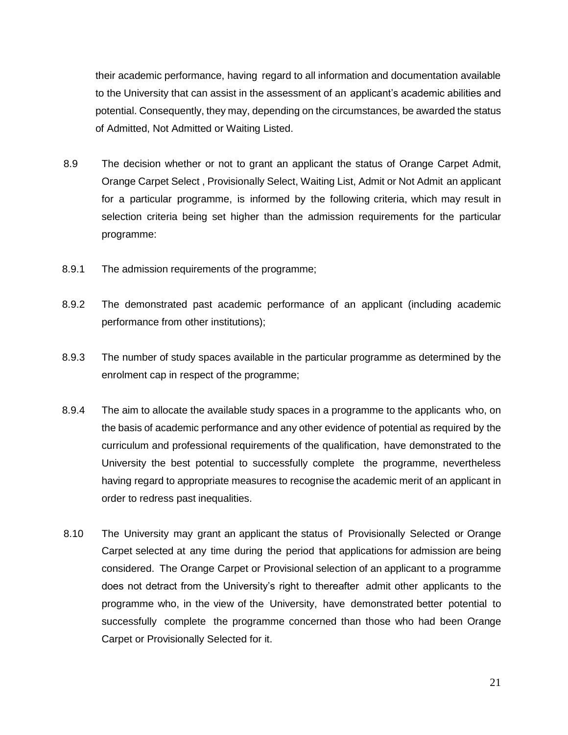their academic performance, having regard to all information and documentation available to the University that can assist in the assessment of an applicant's academic abilities and potential. Consequently, they may, depending on the circumstances, be awarded the status of Admitted, Not Admitted or Waiting Listed.

- 8.9 The decision whether or not to grant an applicant the status of Orange Carpet Admit, Orange Carpet Select , Provisionally Select, Waiting List, Admit or Not Admit an applicant for a particular programme, is informed by the following criteria, which may result in selection criteria being set higher than the admission requirements for the particular programme:
- 8.9.1 The admission requirements of the programme;
- 8.9.2 The demonstrated past academic performance of an applicant (including academic performance from other institutions);
- 8.9.3 The number of study spaces available in the particular programme as determined by the enrolment cap in respect of the programme;
- 8.9.4 The aim to allocate the available study spaces in a programme to the applicants who, on the basis of academic performance and any other evidence of potential as required by the curriculum and professional requirements of the qualification, have demonstrated to the University the best potential to successfully complete the programme, nevertheless having regard to appropriate measures to recognise the academic merit of an applicant in order to redress past inequalities.
- 8.10 The University may grant an applicant the status of Provisionally Selected or Orange Carpet selected at any time during the period that applications for admission are being considered. The Orange Carpet or Provisional selection of an applicant to a programme does not detract from the University's right to thereafter admit other applicants to the programme who, in the view of the University, have demonstrated better potential to successfully complete the programme concerned than those who had been Orange Carpet or Provisionally Selected for it.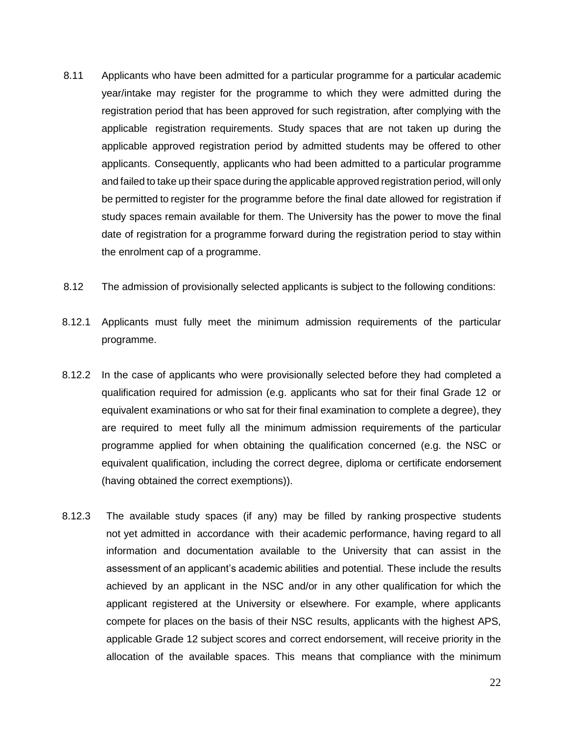- 8.11 Applicants who have been admitted for a particular programme for a particular academic year/intake may register for the programme to which they were admitted during the registration period that has been approved for such registration, after complying with the applicable registration requirements. Study spaces that are not taken up during the applicable approved registration period by admitted students may be offered to other applicants. Consequently, applicants who had been admitted to a particular programme and failed to take up their space during the applicable approved registration period, will only be permitted to register for the programme before the final date allowed for registration if study spaces remain available for them. The University has the power to move the final date of registration for a programme forward during the registration period to stay within the enrolment cap of a programme.
- 8.12 The admission of provisionally selected applicants is subject to the following conditions:
- 8.12.1 Applicants must fully meet the minimum admission requirements of the particular programme.
- 8.12.2 In the case of applicants who were provisionally selected before they had completed a qualification required for admission (e.g. applicants who sat for their final Grade 12 or equivalent examinations or who sat for their final examination to complete a degree), they are required to meet fully all the minimum admission requirements of the particular programme applied for when obtaining the qualification concerned (e.g. the NSC or equivalent qualification, including the correct degree, diploma or certificate endorsement (having obtained the correct exemptions)).
- 8.12.3 The available study spaces (if any) may be filled by ranking prospective students not yet admitted in accordance with their academic performance, having regard to all information and documentation available to the University that can assist in the assessment of an applicant's academic abilities and potential. These include the results achieved by an applicant in the NSC and/or in any other qualification for which the applicant registered at the University or elsewhere. For example, where applicants compete for places on the basis of their NSC results, applicants with the highest APS, applicable Grade 12 subject scores and correct endorsement, will receive priority in the allocation of the available spaces. This means that compliance with the minimum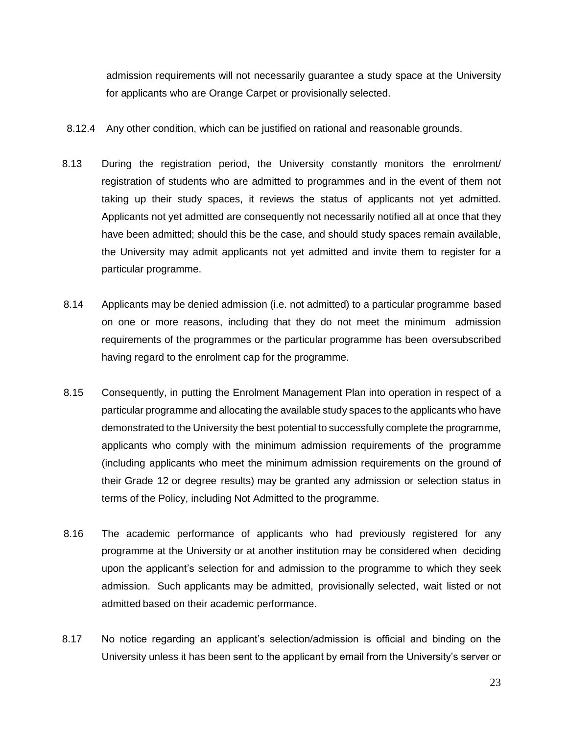admission requirements will not necessarily guarantee a study space at the University for applicants who are Orange Carpet or provisionally selected.

- 8.12.4 Any other condition, which can be justified on rational and reasonable grounds.
- 8.13 During the registration period, the University constantly monitors the enrolment/ registration of students who are admitted to programmes and in the event of them not taking up their study spaces, it reviews the status of applicants not yet admitted. Applicants not yet admitted are consequently not necessarily notified all at once that they have been admitted; should this be the case, and should study spaces remain available, the University may admit applicants not yet admitted and invite them to register for a particular programme.
- 8.14 Applicants may be denied admission (i.e. not admitted) to a particular programme based on one or more reasons, including that they do not meet the minimum admission requirements of the programmes or the particular programme has been oversubscribed having regard to the enrolment cap for the programme.
- 8.15 Consequently, in putting the Enrolment Management Plan into operation in respect of a particular programme and allocating the available study spaces to the applicants who have demonstrated to the University the best potential to successfully complete the programme, applicants who comply with the minimum admission requirements of the programme (including applicants who meet the minimum admission requirements on the ground of their Grade 12 or degree results) may be granted any admission or selection status in terms of the Policy, including Not Admitted to the programme.
- 8.16 The academic performance of applicants who had previously registered for any programme at the University or at another institution may be considered when deciding upon the applicant's selection for and admission to the programme to which they seek admission. Such applicants may be admitted, provisionally selected, wait listed or not admitted based on their academic performance.
- 8.17 No notice regarding an applicant's selection/admission is official and binding on the University unless it has been sent to the applicant by email from the University's server or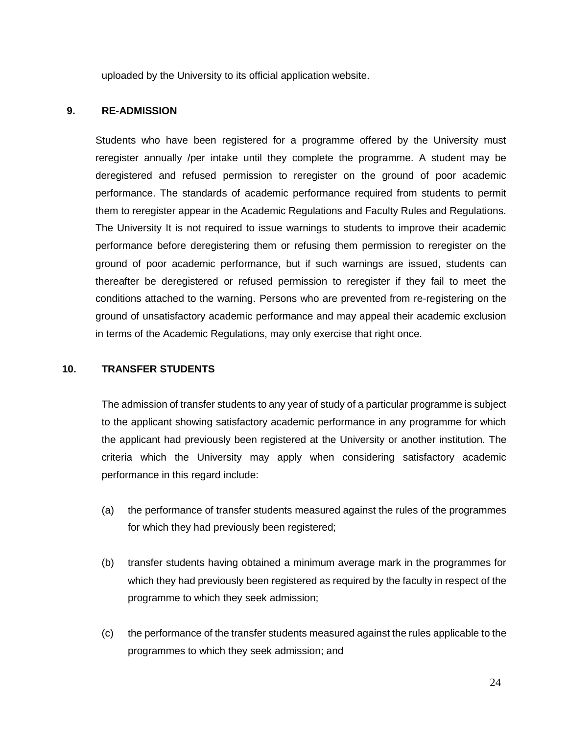uploaded by the University to its official application website.

#### <span id="page-23-0"></span>**9. RE-ADMISSION**

Students who have been registered for a programme offered by the University must reregister annually /per intake until they complete the programme. A student may be deregistered and refused permission to reregister on the ground of poor academic performance. The standards of academic performance required from students to permit them to reregister appear in the Academic Regulations and Faculty Rules and Regulations. The University It is not required to issue warnings to students to improve their academic performance before deregistering them or refusing them permission to reregister on the ground of poor academic performance, but if such warnings are issued, students can thereafter be deregistered or refused permission to reregister if they fail to meet the conditions attached to the warning. Persons who are prevented from re-registering on the ground of unsatisfactory academic performance and may appeal their academic exclusion in terms of the Academic Regulations, may only exercise that right once.

#### <span id="page-23-1"></span>**10. TRANSFER STUDENTS**

The admission of transfer students to any year of study of a particular programme is subject to the applicant showing satisfactory academic performance in any programme for which the applicant had previously been registered at the University or another institution. The criteria which the University may apply when considering satisfactory academic performance in this regard include:

- (a) the performance of transfer students measured against the rules of the programmes for which they had previously been registered;
- (b) transfer students having obtained a minimum average mark in the programmes for which they had previously been registered as required by the faculty in respect of the programme to which they seek admission;
- (c) the performance of the transfer students measured against the rules applicable to the programmes to which they seek admission; and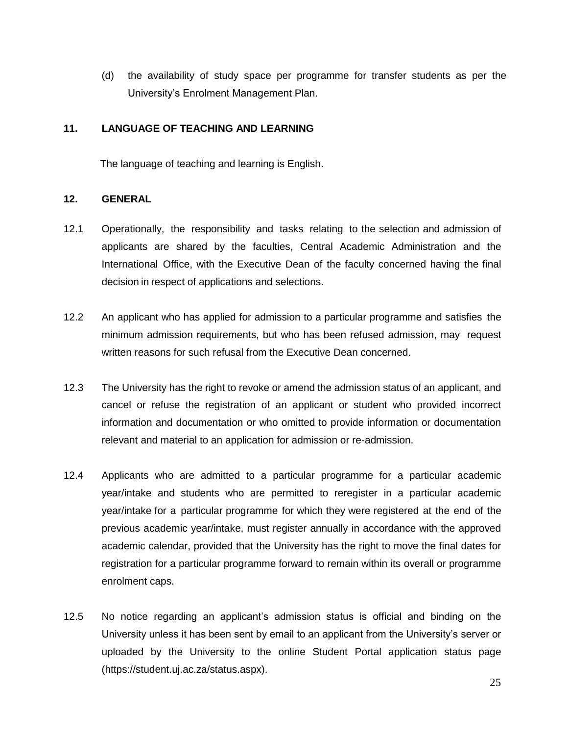(d) the availability of study space per programme for transfer students as per the University's Enrolment Management Plan.

#### <span id="page-24-0"></span>**11. LANGUAGE OF TEACHING AND LEARNING**

The language of teaching and learning is English.

#### <span id="page-24-1"></span>**12. GENERAL**

- 12.1 Operationally, the responsibility and tasks relating to the selection and admission of applicants are shared by the faculties, Central Academic Administration and the International Office, with the Executive Dean of the faculty concerned having the final decision in respect of applications and selections.
- 12.2 An applicant who has applied for admission to a particular programme and satisfies the minimum admission requirements, but who has been refused admission, may request written reasons for such refusal from the Executive Dean concerned.
- 12.3 The University has the right to revoke or amend the admission status of an applicant, and cancel or refuse the registration of an applicant or student who provided incorrect information and documentation or who omitted to provide information or documentation relevant and material to an application for admission or re-admission.
- 12.4 Applicants who are admitted to a particular programme for a particular academic year/intake and students who are permitted to reregister in a particular academic year/intake for a particular programme for which they were registered at the end of the previous academic year/intake, must register annually in accordance with the approved academic calendar, provided that the University has the right to move the final dates for registration for a particular programme forward to remain within its overall or programme enrolment caps.
- 12.5 No notice regarding an applicant's admission status is official and binding on the University unless it has been sent by email to an applicant from the University's server or uploaded by the University to the online Student Portal application status page (https://student.uj.ac.za/status.aspx).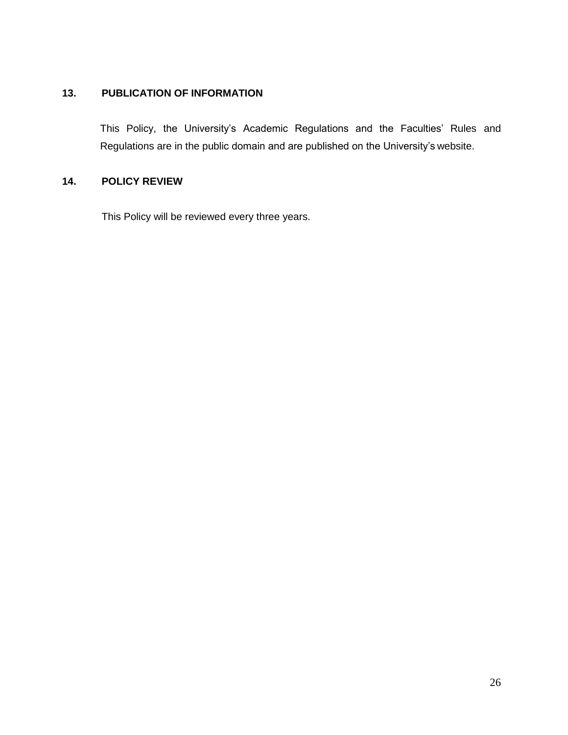### <span id="page-25-0"></span>**13. PUBLICATION OF INFORMATION**

This Policy, the University's Academic Regulations and the Faculties' Rules and Regulations are in the public domain and are published on the University's website.

## <span id="page-25-1"></span>**14. POLICY REVIEW**

This Policy will be reviewed every three years.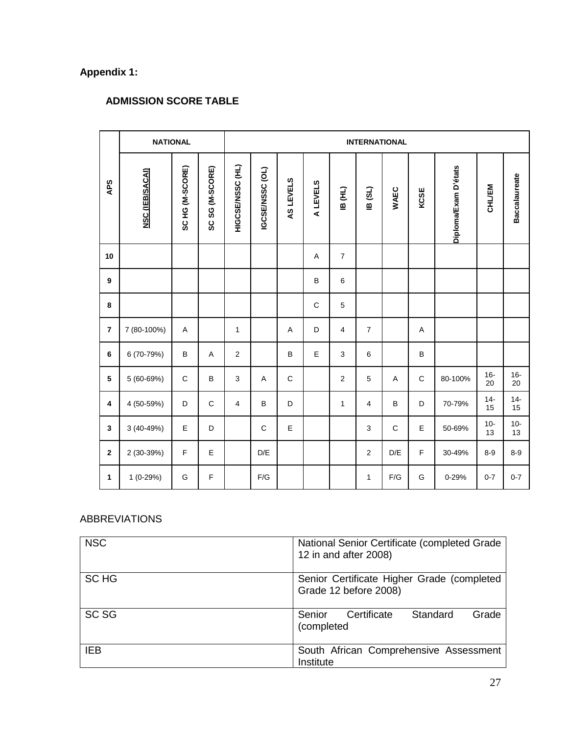# <span id="page-26-0"></span>**Appendix 1:**

## **ADMISSION SCORE TABLE**

|                         | <b>NATIONAL</b>        | <b>INTERNATIONAL</b> |                 |                            |                 |             |                |                |                |             |             |                      |               |                      |
|-------------------------|------------------------|----------------------|-----------------|----------------------------|-----------------|-------------|----------------|----------------|----------------|-------------|-------------|----------------------|---------------|----------------------|
| <b>APS</b>              | <b>NSC (IEB/SACAI)</b> | SC HG (M-SCORE)      | SC SG (M-SCORE) | HIGCSENSSC <sub>(HL)</sub> | IGCSE/NSSC (OL) | AS LEVELS   | <b>ALEVELS</b> | (TH) BI        | 18(3L)         | <b>WAEC</b> | KCSE        | Diploma/Exam D'états | <b>CHL/EM</b> | <b>Baccalaureate</b> |
| 10                      |                        |                      |                 |                            |                 |             | A              | $\overline{7}$ |                |             |             |                      |               |                      |
| 9                       |                        |                      |                 |                            |                 |             | B              | 6              |                |             |             |                      |               |                      |
| 8                       |                        |                      |                 |                            |                 |             | $\mathsf C$    | 5              |                |             |             |                      |               |                      |
| $\overline{7}$          | 7 (80-100%)            | A                    |                 | $\mathbf{1}$               |                 | A           | D              | 4              | $\overline{7}$ |             | Α           |                      |               |                      |
| 6                       | 6 (70-79%)             | B                    | $\overline{A}$  | $\overline{2}$             |                 | B           | E              | $\mathbf{3}$   | 6              |             | B           |                      |               |                      |
| 5                       | 5 (60-69%)             | C                    | B               | 3                          | Α               | $\mathbf C$ |                | $\overline{c}$ | 5              | A           | $\mathbf C$ | 80-100%              | $16 -$<br>20  | $16 -$<br>20         |
| $\overline{\mathbf{4}}$ | 4 (50-59%)             | D                    | $\mathsf C$     | $\overline{4}$             | B               | D           |                | $\mathbf{1}$   | $\overline{4}$ | B           | D           | 70-79%               | $14 -$<br>15  | $14 -$<br>15         |
| $\mathbf{3}$            | 3 (40-49%)             | E                    | D               |                            | C               | E           |                |                | 3              | $\mathsf C$ | E           | 50-69%               | $10-$<br>13   | $10-$<br>13          |
| $\boldsymbol{2}$        | 2 (30-39%)             | $\mathsf F$          | E               |                            | D/E             |             |                |                | $\overline{2}$ | D/E         | F           | 30-49%               | $8-9$         | $8-9$                |
| $\mathbf{1}$            | $1(0-29%)$             | G                    | F               |                            | F/G             |             |                |                | $\mathbf{1}$   | F/G         | G           | 0-29%                | $0 - 7$       | $0 - 7$              |

## ABBREVIATIONS

| <b>NSC</b>       | National Senior Certificate (completed Grade<br>12 in and after 2008) |
|------------------|-----------------------------------------------------------------------|
| SC HG            | Senior Certificate Higher Grade (completed<br>Grade 12 before 2008)   |
| SC <sub>SG</sub> | Standard<br>Certificate<br>Grade<br>Senior<br>(completed              |
| IEB              | South African Comprehensive Assessment<br>Institute                   |